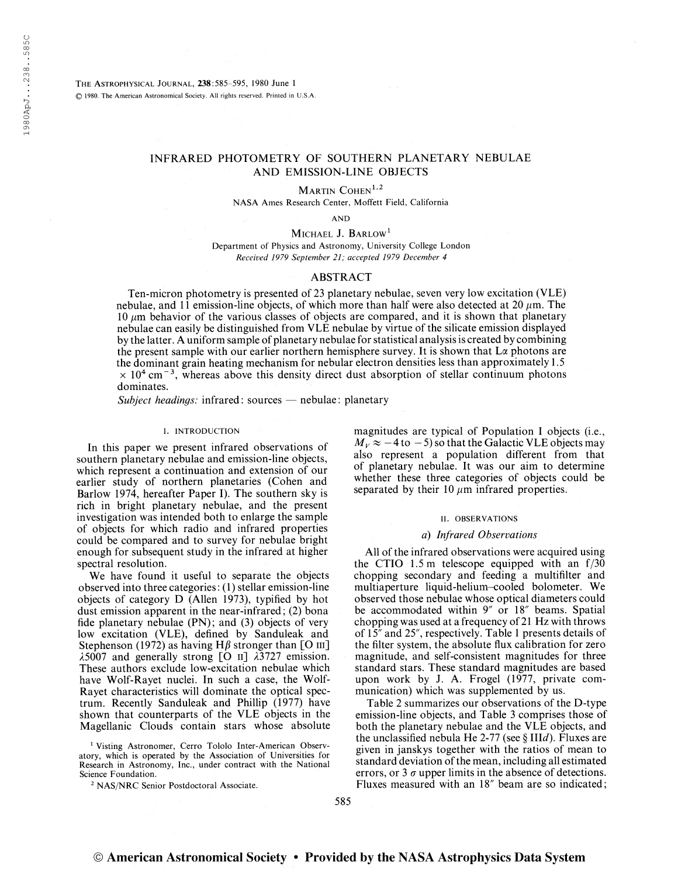The Astrophysical Journal, 238:585-595, 1980 June <sup>1</sup> © 1980. The American Astronomical Society. All rights reserved. Printed in U.S.A.

# INFRARED PHOTOMETRY OF SOUTHERN PLANETARY NEBULAE AND EMISSION-LINE OBJECTS

MARTIN COHEN<sup>1,2</sup>

NASA Ames Research Center, Moffett Field, California

AND

MICHAEL J. BARLOW<sup>1</sup>

Department of Physics and Astronomy, University College London Received 1979 September 21; accepted 1979 December 4

# ABSTRACT

Ten-micron photometry is presented of 23 planetary nebulae, seven very low excitation (VLE) nebulae, and 11 emission-line objects, of which more than half were also detected at 20  $\mu$ m. The 10  $\mu$ m behavior of the various classes of objects are compared, and it is shown that planetary nebulae can easily be distinguished from VLE nebulae by virtue of the silicate emission displayed by the latter. A uniform sample of planetary nebulae for statistical analysis is created by combining the present sample with our earlier northern hemisphere survey. It is shown that  $L\alpha$  photons are the dominant grain heating mechanism for nebular electron densities less than approximately 1.5  $\times$  10<sup>4</sup> cm<sup>-3</sup>, whereas above this density direct dust absorption of stellar continuum photons dominates.

Subject headings: infrared: sources  $-$  nebulae: planetary

#### I. INTRODUCTION

In this paper we present infrared observations of southern planetary nebulae and emission-line objects, which represent a continuation and extension of our earlier study of northern planetaries (Cohen and Barlow 1974, hereafter Paper I). The southern sky is rich in bright planetary nebulae, and the present investigation was intended both to enlarge the sample of objects for which radio and infrared properties could be compared and to survey for nebulae bright enough for subsequent study in the infrared at higher spectral resolution.

We have found it useful to separate the objects observed into three categories: (1) stellar emission-line objects of category D (Allen 1973), typified by hot dust emission apparent in the near-infrared; (2) bona fide planetary nebulae (PN); and (3) objects of very low excitation (VLE), defined by Sanduleak and Stephenson (1972) as having H $\beta$  stronger than [O III]  $\lambda$ 5007 and generally strong [O  $\text{II}$ ]  $\lambda$ 3727 emission. These authors exclude low-excitation nebulae which have Wolf-Rayet nuclei. In such a case, the Wolf-Rayet characteristics will dominate the optical spectrum. Recently Sanduleak and Phillip (1977) have shown that counterparts of the VLE objects in the Magellanic Clouds contain stars whose absolute

<sup>1</sup> Visting Astronomer, Cerro Tololo Inter-American Observatory, which is operated by the Association of Universities for Research in Astronomy, Inc., under contract with the National Science Foundation.

<sup>2</sup> NAS/NRC Senior Postdoctoral Associate.

magnitudes are typical of Population I objects (i.e.,  $M_V \approx -4$  to  $-5$ ) so that the Galactic VLE objects may also represent a population different from that of planetary nebulae. It was our aim to determine whether these three categories of objects could be separated by their 10  $\mu$ m infrared properties.

### II. OBSERVATIONS

#### a) Infrared Observations

All of the infrared observations were acquired using the CTIO 1.5 m telescope equipped with an f/30 chopping secondary and feeding a multifilter and multiaperture liquid-helium-cooled bolometer. We observed those nebulae whose optical diameters could be accommodated within 9" or 18" beams. Spatial chopping was used at a frequency of 21 Hz with throws of 15" and 25", respectively. Table <sup>1</sup> presents details of the filter system, the absolute flux calibration for zero magnitude, and self-consistent magnitudes for three standard stars. These standard magnitudes are based upon work by J. A. Frogel (1977, private communication) which was supplemented by us.

Table 2 summarizes our observations of the D-type emission-line objects, and Table <sup>3</sup> comprises those of both the planetary nebulae and the VLE objects, and the unclassified nebula He 2-77 (see  $\S$  IIId). Fluxes are given in janskys together with the ratios of mean to standard deviation of the mean, including all estimated errors, or 3  $\sigma$  upper limits in the absence of detections. Fluxes measured with an 18" beam are so indicated;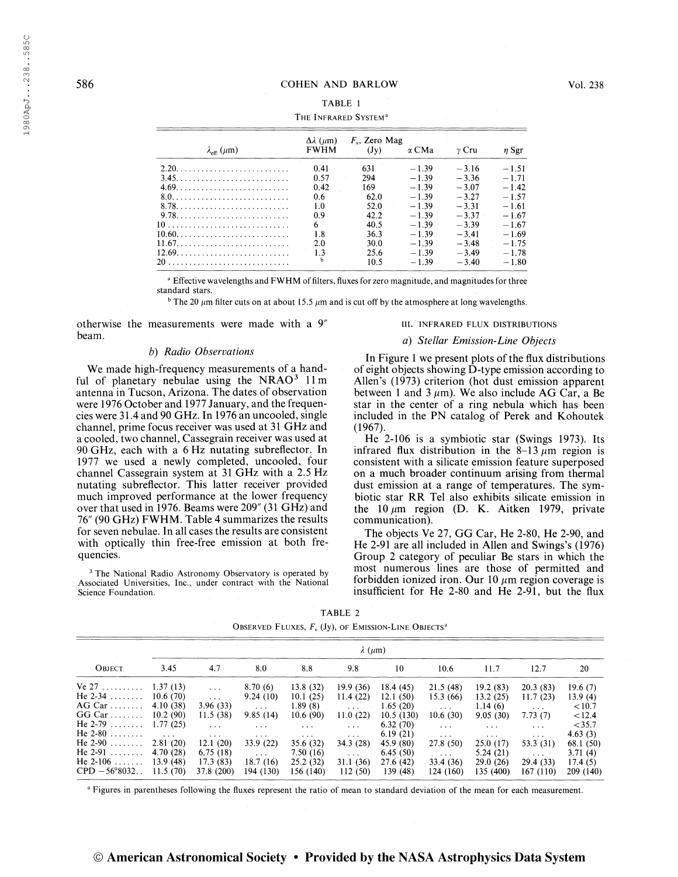# TABLE <sup>1</sup>

|                                   | $\Delta\lambda$ ( $\mu$ m) | $F_v$ , Zero Mag |              |         |            |  |
|-----------------------------------|----------------------------|------------------|--------------|---------|------------|--|
| $\lambda_{\text{eff}}$ ( $\mu$ m) | <b>FWHM</b>                | (Jy)             | $\alpha$ CMa | y Cru   | $\eta$ Sgr |  |
| 2.20.                             | 0.41                       | 631              | $-1.39$      | $-3.16$ | $-1.51$    |  |
| 3.45.                             | 0.57                       | 294              | $-1.39$      | $-3.36$ | $-1.71$    |  |
|                                   | 0.42                       | 169              | $-1.39$      | $-3.07$ | $-1.42$    |  |
| $8.0.$ .                          | 0.6                        | 62.0             | $-1.39$      | $-3.27$ | $-1.57$    |  |
|                                   | 1.0                        | 52.0             | $-1.39$      | $-3.31$ | $-1.61$    |  |
| 9.78.                             | 0.9                        | 42.2             | $-1.39$      | $-3.37$ | $-1.67$    |  |
|                                   |                            | 40.5             | $-1.39$      | $-3.39$ | $-1.67$    |  |
|                                   | 1.8                        | 36.3             | $-1.39$      | $-3.41$ | $-1.69$    |  |
| 11.67.                            | 2.0                        | 30.0             | $-1.39$      | $-3.48$ | $-1.75$    |  |
|                                   | 1.3                        | 25.6             | $-1.39$      | $-3.49$ | $-1.78$    |  |
|                                   |                            | 10.5             | $-1.39$      | $-3.40$ | $-1.80$    |  |

<sup>a</sup> Effective wavelengths and FWHM of filters, fluxes for zero magnitude, and magnitudes for three standard stars.

<sup>b</sup> The 20  $\mu$ m filter cuts on at about 15.5  $\mu$ m and is cut off by the atmosphere at long wavelengths.

otherwise the measurements were made with a  $9''$ beam.

#### b) Radio Observations

We made high-frequency measurements of a handful of planetary nebulae using the  $NRAO<sup>3</sup>$  11 m antenna in Tucson, Arizona. The dates of observation were 1976 October and 1977 January, and the frequencies were 31.4 and 90 GHz. In 1976 an uncooled, single channel, prime focus receiver was used at 31 GHz and a cooled, two channel, Cassegrain receiver was used at 90 GHz, each with a 6 Hz nutating subreflector. In 1977 we used a newly completed, uncooled, four channel Cassegrain system at 31 GHz with a 2.5 Hz nutating subreflector. This latter receiver provided much improved performance at the lower frequency over that used in 1976. Beams were  $209''$  (31 GHz) and 16" (90 GHz) FWHM. Table 4 summarizes the results for seven nebulae. In all cases the results are consistent with optically thin free-free emission at both frequencies.

<sup>3</sup> The National Radio Astronomy Observatory is operated by Associated Universities, Inc., under contract with the National Science Foundation.

#### III. INFRARED FLUX DISTRIBUTIONS

## a) Stellar Emission-Line Objects

In Figure 1 we present plots of the flux distributions of eight objects showing D-type emission according to Allen's (1973) criterion (hot dust emission apparent between 1 and 3  $\mu$ m). We also include AG Car, a Be star in the center of a ring nebula which has been included in the PN catalog of Perek and Kohoutek (1967).

He 2-106 is a symbiotic star (Swings 1973). Its infrared flux distribution in the  $8-13 \mu m$  region is consistent with a silicate emission feature superposed on a much broader continuum arising from thermal dust emission at a range of temperatures. The symbiotic star RR Tel also exhibits silicate emission in the 10  $\mu$ m region (D. K. Aitken 1979, private communication).

The objects Ve 27, GG Car, He 2-80, He 2-90, and He 2-91 are all included in Allen and Swings's (1976) Group 2 category of peculiar Be stars in which the most numerous lines are those of permitted and forbidden ionized iron. Our 10  $\mu$ m region coverage is insufficient for He 2-80 and He 2-91, but the flux

| OBSERVED FLUXES, $F_u$ (Jy), of EMISSION-LINE OBJECTS <sup>a</sup> |                      |               |                |                      |                         |           |                                 |                      |                      |           |
|--------------------------------------------------------------------|----------------------|---------------|----------------|----------------------|-------------------------|-----------|---------------------------------|----------------------|----------------------|-----------|
|                                                                    | $\lambda$ ( $\mu$ m) |               |                |                      |                         |           |                                 |                      |                      |           |
| OBJECT                                                             | 3.45                 | 4.7           | 8.0            | 8.8                  | 9.8                     | 10        | 10.6                            | 11.7                 | 12.7                 | 20        |
| Ve $27 \ldots \ldots$                                              | 1.37(13)             | $\sim 100$    | 8.70(6)        | 13.8 (32)            | 19.9(36)                | 18.4(45)  | 21.5(48)                        | 19.2(83)             | 20.3(83)             | 19.6(7)   |
| He $2-34$                                                          | 10.6(70)             | $\sim$ $\sim$ | 9.24(10)       | 10.1(25)             | 11.4(22)                | 12.1(50)  | 15.3(66)                        | 13.2(25)             | 11.7(23)             | 13.9 (4)  |
| $AG Car$                                                           | 4.10 (38)            | 3.96(33)      | $\cdots$       | 1.89(8)              | $\cdots$                | 1.65(20)  | $\mathbf{z} \cdot \mathbf{z}$ . | 1.14(6)              | $\cdots$             | < 10.7    |
| $GG Car$                                                           | 10.2(90)             | 11.5(38)      | 9.85(14)       | 10.6(90)             | 11.0(22)                | 10.5(130) | 10.6(30)                        | 9.05(30)             | 7.73(7)              | < 12.4    |
| He $2-79$                                                          | 1.77(25)             | $\cdots$      | <b>Service</b> | $\cdots$             | $\cdots$                | 6.32(70)  | $\cdots$                        | $\sim$ $\sim$ $\sim$ | $\cdots$             | $<$ 35.7  |
| He $2-80$                                                          | $\sim$ $\sim$        | $\cdots$      | $\cdots$       | $\sim$ $\sim$ $\sim$ | $\cdots$                | 6.19(21)  | $\cdots$                        | $\sim$ $\sim$ $\sim$ | $\sim$ $\sim$ $\sim$ | 4.63(3)   |
| He $2-90$                                                          | 2.81(20)             | 12.1(20)      | 33.9 (22)      | 35.6 (32)            | 34.3(28)                | 45.9 (80) | 27.8(50)                        | 25.0(17)             | 53.3 (31)            | 68.1 (50) |
| He $2-91$                                                          | 4.70(28)             | 6.75(18)      | $\sim 100$     | 7.50(16)             | $\sim 100$ km s $^{-1}$ | 6.45(50)  | <b>Contract</b>                 | 5.24(21)             | $\sim$ $\sim$ $\sim$ | 3.71(4)   |
| He $2-106$                                                         | 13.9(48)             | 17.3(83)      | 18.7(16)       | 25.2(32)             | 31.1(36)                | 27.6 (42) | 33.4 (36)                       | 29.0(26)             | 29.4 (33)            | 17.4(5)   |
| $CPD - 56^{\circ}8032$                                             | 11.5(70)             | 37.8 (200)    | 194 (130)      | 156 (140)            | 112(50)                 | 139 (48)  | 124 (160)                       | 135 (400)            | 167 (110)            | 209 (140) |

TABLE 2

<sup>a</sup> Figures in parentheses following the fluxes represent the ratio of mean to standard deviation of the mean for each measurement.

|  | © American Astronomical Society • Provided by the NASA Astrophysics Data System |  |  |  |
|--|---------------------------------------------------------------------------------|--|--|--|
|  |                                                                                 |  |  |  |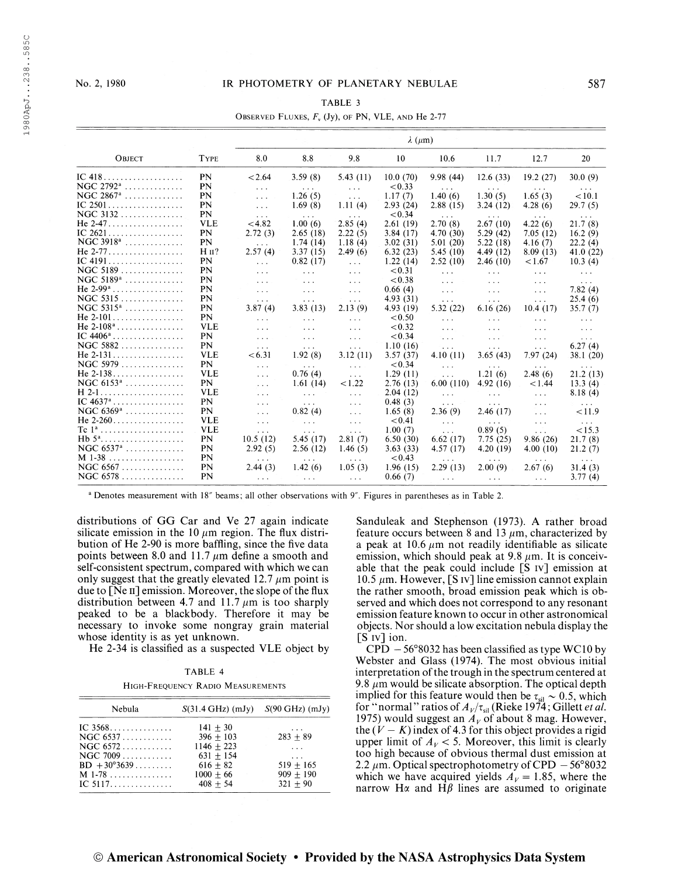## No. 2, 1980 IR PHOTOMETRY OF PLANETARY NEBULAE 587

#### TABLE 3

### OBSERVED FLUXES,  $F_v$  (Jy), of PN, VLE, AND He 2-77

|                                                |             | $\lambda$ ( $\mu$ m)    |                                                       |                                     |           |                                |                      |                                           |                                |
|------------------------------------------------|-------------|-------------------------|-------------------------------------------------------|-------------------------------------|-----------|--------------------------------|----------------------|-------------------------------------------|--------------------------------|
| OBJECT                                         | <b>TYPE</b> | 8.0                     | 8.8                                                   | 9.8                                 | 10        | 10.6                           | 11.7                 | 12.7                                      | 20                             |
|                                                | PN          | < 2.64                  | 3.59(8)                                               | 5.43(11)                            | 10.0(70)  | 9.98(44)                       | 12.6(33)             | 19.2(27)                                  | 30.0(9)                        |
| NGC $2792^a$                                   | PN          | $\sim$ $\sim$ $\sim$    | $\cdots$                                              | $\sim 10$                           | < 0.33    | $\alpha$ , $\alpha$ , $\alpha$ | $\sim$ $\sim$ $\sim$ | <b>Service</b>                            | $\sim$ $\sim$ $\sim$           |
| $\rm NGC$ 2867ª $\,\ldots\ldots\ldots\ldots\,$ | PN          | $\sim 10$               | 1.26(5)                                               | $\sim 10^{-1}$                      | 1.17(7)   | 1.40(6)                        | 1.30(5)              | 1.65(3)                                   | < 10.1                         |
| $IC 2501 \ldots \ldots \ldots \ldots \ldots$   | PN          | $\sim$ $\sim$           | 1.69(8)                                               | 1.11(4)                             | 2.93(24)  | 2.88(15)                       | 3.24(12)             | 4.28(6)                                   | 29.7(5)                        |
| $NGC$ 3132                                     | PN          | $\sim$ $\sim$ $\sim$    | $\sim$ $\sim$ $\sim$                                  | $\alpha \rightarrow \alpha \beta$   | < 0.34    | $\sim 100$                     | <b>Contract</b>      | $\sim$ $\sim$ $\sim$                      | $\sim$ $\sim$ $\sim$           |
| He 2-47.                                       | <b>VLE</b>  | < 4.82                  | 1.00(6)                                               | 2.85(4)                             | 2.61(19)  | 2.70(8)                        | 2.67(10)             | 4.22(6)                                   | 21.7(8)                        |
| IC 2621                                        | PN          | 2.72(3)                 | 2.65(18)                                              | 2.22(5)                             | 3.84(17)  | 4.70(30)                       | 5.29(42)             | 7.05(12)                                  | 16.2(9)                        |
| NGC 3918 <sup>a</sup>                          | PN          | $\sim 10^{-11}$         | 1.74(14)                                              | 1.18(4)                             | 3.02(31)  | 5.01(20)                       | 5.22(18)             | 4.16(7)                                   | 22.2(4)                        |
| He 2-77.                                       | $HII$ ?     | 2.57(4)                 | 3.37(15)                                              | 2.49(6)                             | 6.32(23)  | 5.45(10)                       | 4.49(12)             | 8.09(13)                                  | 41.0(22)                       |
|                                                | PN          | $\sim 10$               | 0.82(17)                                              | $\sim 100$                          | 1.22(14)  | 2.52(10)                       | 2.46(10)             | 1.67                                      | 10.3(4)                        |
| $NGC$ 5189                                     | PN          | $\sim$ $\sim$ $\sim$    | $\sim$ $\sim$ $\sim$                                  | $\sim 100$                          | < 0.31    | $\sim 100$ km s $^{-1}$        | $\sim 100$           | $\alpha$ , $\alpha$ , $\alpha$            | $\alpha$ , $\alpha$ , $\alpha$ |
| NGC $5189^a$                                   | PN          | $\sim$ $\sim$ $\sim$    | $\mathcal{R}^{\prime}$ and $\mathcal{R}^{\prime}$     | $\sim$ $\sim$ $\sim$                | < 0.38    | $\sim$ $\sim$ $\sim$           | $\sim 100$           | $\sim 100$                                | $\sim 100$                     |
| He $2-99^a$                                    | PN          | $\sim$ $\sim$ $\sim$    | $\sim 100$                                            | $\sim 100$                          | 0.66(4)   | $\sim 100$                     | $\sim 100$           | $\sim 10$                                 | 7.82(4)                        |
| $NGC$ 5315                                     | PN          | $\sim 100$ km $^{-1}$   | $\sim 100$                                            | $\sim$ $\sim$ $\sim$                | 4.93(31)  | $\sim 100$ km s $^{-1}$        | $\sim 100$           | $\sim 100$                                | 25.4(6)                        |
| $NGC 5315^a$                                   | PN          | 3.87(4)                 | 3.83(13)                                              | 2.13(9)                             | 4.93 (19) | 5.32 (22)                      | 6.16(26)             | 10.4(17)                                  | 35.7(7)                        |
| He $2-101$                                     | PN          | $\sim$ $\sim$ $\sim$    | $\sim$ $\sim$ $\sim$                                  | $\cdots$                            | < 0.50    | $\cdots$                       | $\sim 100$           | $\sim 100$                                | $\alpha$ , $\alpha$ , $\alpha$ |
| He $2-108^a$                                   | <b>VLE</b>  | $\sim 100$              | $\sim$ $\sim$ $\sim$                                  | $\sim$ $\sim$ $\sim$                | < 0.32    | $\sim$ $\sim$ $\sim$           | $\sim$ $\sim$ $\sim$ | $\sim$ $\sim$ $\sim$                      | $\sim$ $\sim$ $\sim$           |
| IC $4406^a$                                    | PN          | $\sim$ $\sim$ $\sim$    | $\sim 100$                                            | $\sim 10$                           | < 0.34    | $\sim$ $\sim$ $\sim$           | $\sim 100$           | $\sim$ $\sim$ $\sim$                      | $\sim$ $\sim$ $\sim$           |
| $NGC$ 5882                                     | PN          | $\sim 100$ km $^{-1}$   | $\mathbf{z} \rightarrow \mathbf{z}$ .                 | $\sim$ $\sim$ $\sim$                | 1.10(16)  | $\ldots$ .                     | $\sim 100$           | $\ldots$ .                                | 6.27(4)                        |
| He $2-131$                                     | <b>VLE</b>  | <6.31                   | 1.92(8)                                               | 3.12(11)                            | 3.57(37)  | 4.10(11)                       | 3.65(43)             | 7.97 (24)                                 | 38.1 (20)                      |
| $NGC 5979$                                     | PN          | $\sim$ $\sim$ $\sim$    | <b>Contract Contract</b>                              | $\sim 100$                          | < 0.34    | $\cdots$                       | <b>Contractor</b>    | $\alpha$ , $\alpha$ , $\alpha$ , $\alpha$ | $\sim$ 100 $\sim$ 100 $\sim$   |
|                                                | <b>VLE</b>  | $\sim 10$               | 0.76(4)                                               | $\sim 10$                           | 1.29(11)  | $\sim 100$                     | 1.21(6)              | 2.48(6)                                   | 21.2(13)                       |
| $NGC 6153a$                                    | PN          | $\sim 10$               | 1.61(14)                                              | 1.22                                | 2.76(13)  | 6.00(110)                      | 4.92(16)             | 1.44                                      | 13.3(4)                        |
| H 2-1.<br>.                                    | <b>VLE</b>  | $\sim$ $\sim$ $\sim$    | <b>Contractor</b>                                     | $\sim 100$                          | 2.04(12)  | $\sim 100$                     | $\sim$ $\sim$ $\sim$ | $\sim$ $\sim$ $\sim$                      | 8.18(4)                        |
| IC $4637^a$                                    | PN          | $\sim$ $\sim$ $\sim$    | $\sim 100$ km s $^{-1}$                               | $\sim 100$                          | 0.48(3)   | $\sim 100$ km s $^{-1}$        | $\sim 100$           | $\sigma \sim 10$                          | <b>Contract Contract</b>       |
| $NGC 6369$ <sup>a</sup>                        | PN          | $\cdots$                | 0.82(4)                                               | $\cdots$                            | 1.65(8)   | 2.36(9)                        | 2.46(17)             | $\sim 100$                                | < 11.9                         |
|                                                | <b>VLE</b>  | $\sim$ $\sim$ $\sim$    | $\sim 100$ km s $^{-1}$                               | $\ldots$                            | < 0.41    | $\sim 100$                     | $\sim 100$           | $\sim 10$                                 | $\sim 100$                     |
| $Tc1^a$                                        | <b>VLE</b>  | $\sim 100$              | $\sim 100$                                            | $\sim$ $\sim$ $\sim$                | 1.00(7)   | $\sim$ . $\sim$                | 0.89(5)              | $\sim$ $\sim$ $\sim$                      | < 15.3                         |
| $Hb 5a$ .<br>.                                 | PN          | 10.5(12)                | 5.45 $(17)$                                           | 2.81(7)                             | 6.50(30)  | 6.62(17)                       | 7.75(25)             | 9.86(26)                                  | 21.7(8)                        |
| $NGC 6537$ <sup>a</sup>                        | PN          | 2.92(5)                 | 2.56(12)                                              | 1.46 $(5)$                          | 3.63(33)  | 4.57(17)                       | 4.20(19)             | 4.00(10)                                  | 21.2(7)                        |
| M 1-38<br>.                                    | PN          | <b>Contract</b>         | <b>Contractor</b>                                     | $\cdots$                            | < 0.43    | $\sim$ $\sim$ $\sim$           | $\sim$ $\sim$ $\sim$ | $\sim$ $\sim$ $\sim$                      | <b>Contractor</b>              |
| $NGC 6567 \ldots \ldots \ldots \ldots$         | PN          | 2.44(3)                 | 1.42(6)                                               | 1.05(3)                             | 1.96(15)  | 2.29(13)                       | 2.00(9)              | 2.67(6)                                   | 31.4(3)                        |
| $NGC 6578$                                     | PN          | $\sim 100$ km s $^{-1}$ | $\mathbf{r} \rightarrow \mathbf{r} \times \mathbf{r}$ | $\mathbf{r} \rightarrow \mathbf{r}$ | 0.66(7)   | <b>Allen College</b>           | $\sim 100$           | $\sim 100$ km $^{-1}$                     | 3.77(4)                        |
|                                                |             |                         |                                                       |                                     |           |                                |                      |                                           |                                |

Denotes measurement with 18" beams; all other observations with 9". Figures in parentheses as in Table 2.

distributions of GG Car and Ve 27 again indicate silicate emission in the 10  $\mu$ m region. The flux distribution of He 2-90 is more baffling, since the five data points between 8.0 and 11.7  $\mu$ m define a smooth and self-consistent spectrum, compared with which we can only suggest that the greatly elevated 12.7  $\mu$ m point is due to [Ne II] emission. Moreover, the slope of the flux distribution between 4.7 and 11.7  $\mu$ m is too sharply peaked to be a blackbody. Therefore it may be necessary to invoke some nongray grain material whose identity is as yet unknown.

He 2-34 is classified as a suspected VLE object by

TABLE 4 High-Frequency Radio Measurements

| Nebula                   | $S(31.4 \text{ GHz})$ (mJy) | $S(90 \text{ GHz})$ (mJy) |  |  |
|--------------------------|-----------------------------|---------------------------|--|--|
| IC $3568$                | $141 + 30$                  | $\cdots$                  |  |  |
| $NGC 6537 \ldots \ldots$ | $396 + 103$                 | $283 + 89$                |  |  |
|                          | $1146 + 223$                | $\cdots$                  |  |  |
| $NGC 7009$               | $631 + 154$                 | $\cdots$                  |  |  |
| $BD + 30^{\circ}3639$    | $616 + 82$                  | $519 + 165$               |  |  |
| M 1-78                   | $1000 + 66$                 | $909 + 190$               |  |  |
| IC 5117.                 | $408 + 54$                  | $321 + 90$                |  |  |

Sanduleak and Stephenson (1973). A rather broad feature occurs between 8 and 13  $\mu$ m, characterized by a peak at 10.6  $\mu$ m not readily identifiable as silicate emission, which should peak at 9.8  $\mu$ m. It is conceivable that the peak could include [S iv] emission at 10.5  $\mu$ m. However, [S iv] line emission cannot explain the rather smooth, broad emission peak which is observed and which does not correspond to any resonant emission feature known to occur in other astronomical objects. Nor should a low excitation nebula display the [S IV] ion.

 $CPD - 56°8032$  has been classified as type WC10 by Webster and Glass (1974). The most obvious initial interpretation of the trough in the spectrum centered at 9.8  $\mu$ m would be silicate absorption. The optical depth implied for this feature would then be  $\tau_{\text{sil}} \sim 0.5$ , which for "normal" ratios of  $A_V/\tau_{\rm sil}$  (Rieke 1974; Gillett *et al.*) 1975) would suggest an  $A_V$  of about 8 mag. However, the  $(V - K)$  index of 4.3 for this object provides a rigid upper limit of  $A_V < 5$ . Moreover, this limit is clearly too high because of obvious thermal dust emission at 2.2  $\mu$ m. Optical spectrophotometry of CPD - 56°8032 which we have acquired yields  $A_V = 1.85$ , where the narrow H $\alpha$  and H $\beta$  lines are assumed to originate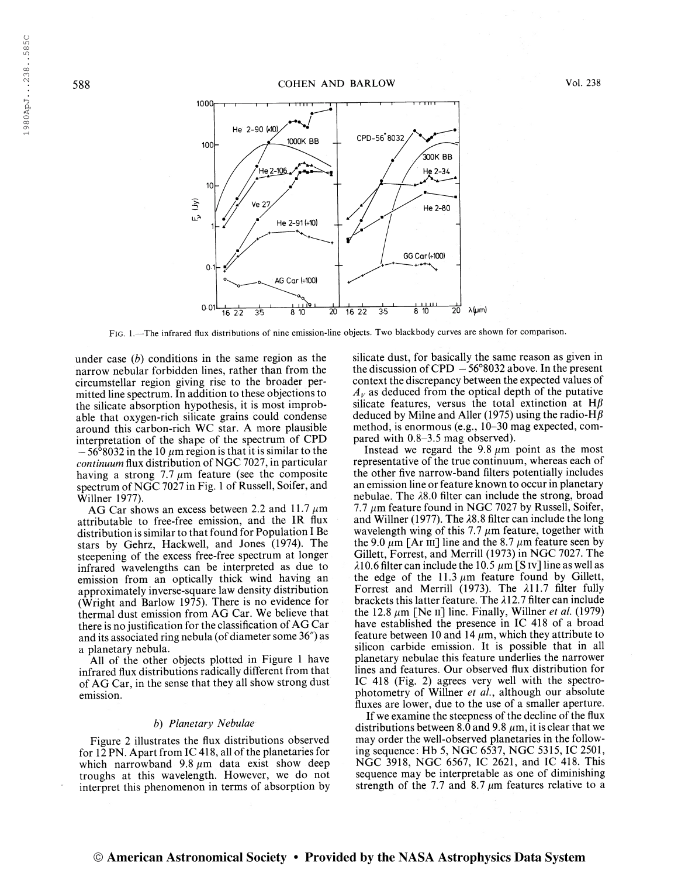

Fig. 1.—The infrared flux distributions of nine emission-line objects. Two blackbody curves are shown for comparison.

under case  $(b)$  conditions in the same region as the narrow nebular forbidden lines, rather than from the circumstellar region giving rise to the broader permitted line spectrum. In addition to these objections to the silicate absorption hypothesis, it is most improbable that oxygen-rich silicate grains could condense around this carbon-rich WC star. A more plausible interpretation of the shape of the spectrum of CPD  $-56^{\circ}8032$  in the 10  $\mu$ m region is that it is similar to the continuum flux distribution of NGC 7027, in particular having a strong 7.7  $\mu$ m feature (see the composite spectrum of NGC 7027 in Fig. 1 of Russell, Soifer, and Willner 1977).

AG Car shows an excess between 2.2 and 11.7  $\mu$ m attributable to free-free emission, and the IR flux distribution is similar to that found for Population I Be stars by Gehrz, Hackwell, and Jones (1974). The steepening of the excess free-free spectrum at longer infrared wavelengths can be interpreted as due to emission from an optically thick wind having an approximately inverse-square law density distribution (Wright and Barlow 1975). There is no evidence for thermal dust emission from AG Car. We believe that there is no justification for the classification of  $AG$  Car and its associated ring nebula (of diameter some 36") as a planetary nebula.

All of the other objects plotted in Figure <sup>1</sup> have infrared flux distributions radically different from that of AG Car, in the sense that they all show strong dust emission.

#### b) Planetary Nebulae

Figure 2 illustrates the flux distributions observed for  $12 \text{ PN}$ . Apart from IC 418, all of the planetaries for which narrowband  $9.8 \mu m$  data exist show deep troughs at this wavelength. However, we do not interpret this phenomenon in terms of absorption by

silicate dust, for basically the same reason as given in the discussion of CPD  $-56^{\circ}8032$  above. In the present context the discrepancy between the expected values of  $A<sub>V</sub>$  as deduced from the optical depth of the putative silicate features, versus the total extinction at  $H\beta$ deduced by Milne and Aller (1975) using the radio-H $\beta$ method, is enormous (e.g., 10-30 mag expected, compared with 0.8-3.5 mag observed).

Instead we regard the 9.8  $\mu$ m point as the most representative of the true continuum, whereas each of the other five narrow-band filters potentially includes an emission line or feature known to occur in planetary nebulae. The A8.0 filter can include the strong, broad 7.7  $\mu$ m feature found in NGC 7027 by Russell, Soifer, and Willner (1977). The  $\lambda$ 8.8 filter can include the long wavelength wing of this 7.7  $\mu$ m feature, together with the 9.0  $\mu$ m [Ar III] line and the 8.7  $\mu$ m feature seen by Gillett, Forrest, and Merrill (1973) in NGC 7027. The  $\lambda$ 10.6 filter can include the 10.5  $\mu$ m [S iv] line as well as the edge of the  $11.3 \mu m$  feature found by Gillett, Forrest and Merrill (1973). The  $\lambda$ 11.7 filter fully brackets this latter feature. The  $\lambda$ 12.7 filter can include the 12.8  $\mu$ m [Ne II] line. Finally, Willner et al. (1979) have established the presence in IC 418 of a broad feature between 10 and 14  $\mu$ m, which they attribute to silicon carbide emission. It is possible that in all planetary nebulae this feature underlies the narrower lines and features. Our observed flux distribution for IC 418 (Fig. 2) agrees very well with the spectrophotometry of Willner et al., although our absolute fluxes are lower, due to the use of a smaller aperture.

If we examine the steepness of the decline of the flux distributions between 8.0 and 9.8  $\mu$ m, it is clear that we may order the well-observed planetaries in the following sequence : Hb 5, NGC 6537, NGC 5315, IC 2501, NGC 3918, NGC 6567, IC 2621, and IC 418. This sequence may be interpretable as one of diminishing strength of the 7.7 and 8.7  $\mu$ m features relative to a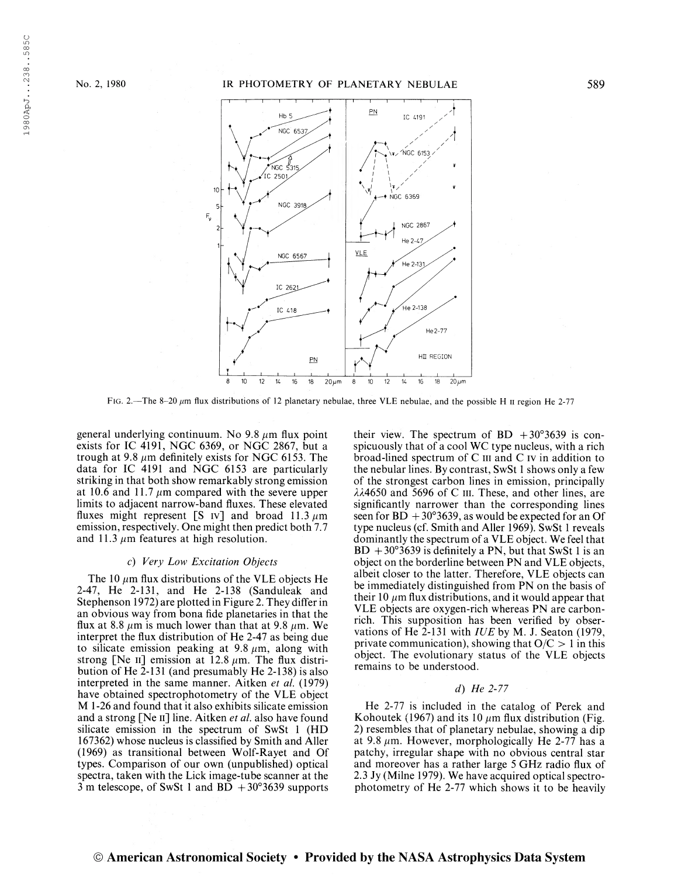198OApJ. . .238 . .585C

1980ApJ...238..585C



FIG. 2.—The 8-20  $\mu$ m flux distributions of 12 planetary nebulae, three VLE nebulae, and the possible H  $\mu$  region He 2-77

general underlying continuum. No 9.8  $\mu$ m flux point exists for IC 4191, NGC 6369, or NGC 2867, but a trough at 9.8  $\mu$ m definitely exists for NGC 6153. The data for IC 4191 and NGC 6153 are particularly striking in that both show remarkably strong emission at 10.6 and 11.7  $\mu$ m compared with the severe upper limits to adjacent narrow-band fluxes. These elevated fluxes might represent [S iv] and broad 11.3  $\mu$ m emission, respectively. One might then predict both 7.7 and 11.3  $\mu$ m features at high resolution.

# c) Very Low Excitation Objects

The 10  $\mu$ m flux distributions of the VLE objects He 2-47, He 2-131, and He 2-138 (Sanduleak and Stephenson 1972) are plotted in Figure 2. They differ in an obvious way from bona fide planetaries in that the flux at 8.8  $\mu$ m is much lower than that at 9.8  $\mu$ m. We interpret the flux distribution of He 2-47 as being due to silicate emission peaking at  $9.8 \mu m$ , along with strong [Ne II] emission at  $12.8 \mu m$ . The flux distribution of He 2-131 (and presumably He 2-138) is also interpreted in the same manner. Aitken et al. (1979) have obtained spectrophotometry of the VLE object M 1-26 and found that it also exhibits silicate emission and a strong [Ne  $\text{II}$ ] line. Aitken *et al*. also have found silicate emission in the spectrum of SwSt <sup>1</sup> (HD 167362) whose nucleus is classified by Smith and Aller (1969) as transitional between Wolf-Rayet and Of types. Comparison of our own (unpublished) optical spectra, taken with the Lick image-tube scanner at the 3 m telescope, of SwSt 1 and  $BD + 30^{\circ}3639$  supports their view. The spectrum of BD  $+30^{\circ}3639$  is conspicuously that of a cool WC type nucleus, with a rich broad-lined spectrum of C m and C iv in addition to the nebular lines. By contrast, SwSt <sup>1</sup> shows only a few of the strongest carbon lines in emission, principally  $\lambda\lambda$ 4650 and 5696 of C III. These, and other lines, are significantly narrower than the corresponding lines seen for  $BD + 30^{\circ}3639$ , as would be expected for an Of type nucleus (cf. Smith and Aller 1969). SwSt <sup>1</sup> reveals dominantly the spectrum of a VLE object. We feel that  $BD + 30^{\circ}3639$  is definitely a PN, but that SwSt 1 is an object on the borderline between PN and VLE objects, albeit closer to the latter. Therefore, VLE objects can be immediately distinguished from PN on the basis of their 10  $\mu$ m flux distributions, and it would appear that VLE objects are oxygen-rich whereas PN are carbonrich. This supposition has been verified by observations of He 2-131 with IUE by M. J. Seaton (1979, private communication), showing that  $O/C > 1$  in this object. The evolutionary status of the VLE objects remains to be understood.

# d) He 2-77

He 2-77 is included in the catalog of Perek and Kohoutek (1967) and its 10  $\mu$ m flux distribution (Fig. 2) resembles that of planetary nebulae, showing a dip at 9.8  $\mu$ m. However, morphologically He 2-77 has a patchy, irregular shape with no obvious central star and moreover has a rather large 5 GHz radio flux of 2.3 Jy (Milne 1979). We have acquired optical spectrophotometry of He 2-77 which shows it to be heavily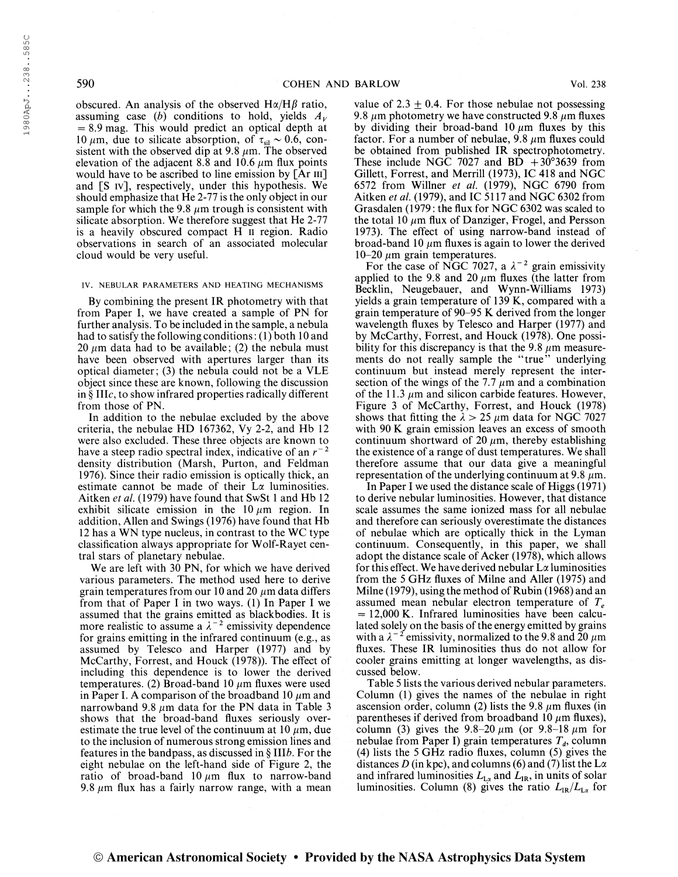198OApJ. . .238 . .585C

1980ApJ...238..585C

obscured. An analysis of the observed  $H\alpha/H\beta$  ratio, assuming case (b) conditions to hold, yields  $A_V$  $= 8.9$  mag. This would predict an optical depth at 10  $\mu$ m, due to silicate absorption, of  $\tau_{\rm sil} \sim 0.6$ , consistent with the observed dip at 9.8  $\mu$ m. The observed elevation of the adjacent 8.8 and 10.6  $\mu$ m flux points would have to be ascribed to line emission by [Ar III] and [S iv], respectively, under this hypothesis. We should emphasize that He 2-77 is the only object in our sample for which the 9.8  $\mu$ m trough is consistent with silicate absorption. We therefore suggest that He 2-77 is a heavily obscured compact H ii region. Radio observations in search of an associated molecular cloud would be very useful.

#### IV. NEBULAR PARAMETERS AND HEATING MECHANISMS

By combining the present IR photometry with that from Paper I, we have created a sample of PN for further analysis. To be included in the sample, a nebula had to satisfy the following conditions: (1) both 10 and 20  $\mu$ m data had to be available; (2) the nebula must have been observed with apertures larger than its optical diameter ; (3) the nebula could not be a VLE object since these are known, following the discussion in § IIIc, to show infrared properties radically different from those of PN.

In addition to the nebulae excluded by the above criteria, the nebulae HD 167362, Vy 2-2, and Hb 12 were also excluded. These three objects are known to were also excluded. These three objects are known to have a steep radio spectral index, indicative of an  $r^{-2}$ density distribution (Marsh, Purton, and Feldman 1976). Since their radio emission is optically thick, an estimate cannot be made of their La luminosities. Aitken et al. (1979) have found that SwSt <sup>1</sup> and Hb 12 exhibit silicate emission in the 10  $\mu$ m region. In addition, Allen and Swings (1976) have found that Hb 12 has a WN type nucleus, in contrast to the WC type classification always appropriate for Wolf-Rayet central stars of planetary nebulae.

We are left with 30 PN, for which we have derived various parameters. The method used here to derive grain temperatures from our 10 and 20  $\mu$ m data differs from that of Paper I in two ways. (1) In Paper I we assumed that the grains emitted as blackbodies. It is assumed that the grains emitted as blackbodies. It is<br>more realistic to assume a  $\lambda^{-2}$  emissivity dependence for grains emitting in the infrared continuum (e.g., as assumed by Telesco and Harper (1977) and by McCarthy, Forrest, and Houck (1978)). The effect of including this dependence is to lower the derived temperatures. (2) Broad-band 10  $\mu$ m fluxes were used in Paper I. A comparison of the broadband 10  $\mu$ m and narrowband 9.8  $\mu$ m data for the PN data in Table 3 shows that the broad-band fluxes seriously overestimate the true level of the continuum at 10  $\mu$ m, due to the inclusion of numerous strong emission lines and features in the bandpass, as discussed in § III6. For the eight nebulae on the left-hand side of Figure 2, the ratio of broad-band  $10 \mu m$  flux to narrow-band 9.8  $\mu$ m flux has a fairly narrow range, with a mean

value of 2.3  $\pm$  0.4. For those nebulae not possessing 9.8  $\mu$ m photometry we have constructed 9.8  $\mu$ m fluxes by dividing their broad-band 10  $\mu$ m fluxes by this factor. For a number of nebulae, 9.8  $\mu$ m fluxes could be obtained from published IR spectrophotometry. These include NGC 7027 and  $B\overline{D} + 3\overline{0}^{\circ}3639$  from Gillett, Forrest, and Merrill (1973), IC 418 and NGC 6572 from Willner et al. (1979), NGC 6790 from Aitken et al. (1979), and IC 5117 and NGC 6302 from Grasdalen (1979 : the flux for NGC 6302 was scaled to the total 10  $\mu$ m flux of Danziger, Frogel, and Persson 1973). The effect of using narrow-band instead of broad-band 10  $\mu$ m fluxes is again to lower the derived 10-20  $\mu$ m grain temperatures.

-20  $\mu$ m grain temperatures.<br>For the case of NGC 7027, a  $\lambda^{-2}$  grain emissivity applied to the 9.8 and 20  $\mu$ m fluxes (the latter from Becklin, Neugebauer, and Wynn-Williams 1973) yields a grain temperature of 139 K, compared with a grain temperature of 90-95 K derived from the longer wavelength fluxes by Telesco and Harper (1977) and by McCarthy, Forrest, and Houck (1978). One possibility for this discrepancy is that the 9.8  $\mu$ m measurements do not really sample the "true" underlying continuum but instead merely represent the intersection of the wings of the 7.7  $\mu$ m and a combination of the 11.3  $\mu$ m and silicon carbide features. However, Figure 3 of McCarthy, Forrest, and Houck (1978) shows that fitting the  $\lambda > 25 \mu m$  data for NGC 7027 with 90 K grain emission leaves an excess of smooth continuum shortward of 20  $\mu$ m, thereby establishing the existence of a range of dust temperatures. We shall therefore assume that our data give a meaningful representation of the underlying continuum at 9.8  $\mu$ m.

In Paper I we used the distance scale of Higgs (1971) to derive nebular luminosities. However, that distance scale assumes the same ionized mass for all nebulae and therefore can seriously overestimate the distances of nebulae which are optically thick in the Lyman continuum. Consequently, in this paper, we shall adopt the distance scale of Acker (1978), which allows for this effect. We have derived nebular  $L\alpha$  luminosities from the 5 GHz fluxes of Milne and Aller (1975) and Milne (1979), using the method of Rubin (1968) and an assumed mean nebular electron temperature of  $T_e$  $= 12,000$  K. Infrared luminosities have been calculated solely on the basis of the energy emitted by grains lated solely on the basis of the energy emitted by grains<br>with a  $\lambda^{-2}$  emissivity, normalized to the 9.8 and 20  $\mu$ m fluxes. These IR luminosities thus do not allow for cooler grains emitting at longer wavelengths, as discussed below.

Table 5 lists the various derived nebular parameters. Column (1) gives the names of the nebulae in right ascension order, column (2) lists the 9.8  $\mu$ m fluxes (in parentheses if derived from broadband 10  $\mu$ m fluxes), column (3) gives the 9.8-20  $\mu$ m (or 9.8-18  $\mu$ m for nebulae from Paper I) grain temperatures  $T_d$ , column (4) lists the 5 GHz radio fluxes, column (5) gives the distances D (in kpc), and columns (6) and (7) list the  $L\alpha$ and infrared luminosities  $L_{L\alpha}$  and  $L_{IR}$ , in units of solar<br>luminosities. Column (8) gives the ratio  $L_{IR}/L_{L\alpha}$  for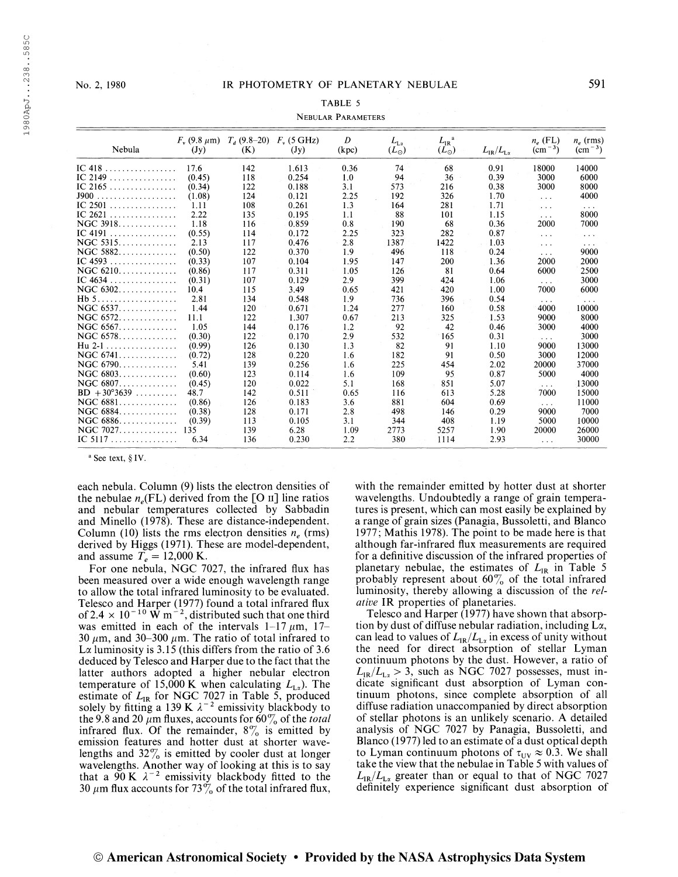# TABLE 5

# Nebular Parameters

| Nebula                          | $F_v$ (9.8 $\mu$ m)<br>(Jy) | $T_d$ (9.8–20) – $F_v$ (5 GHz)<br>(K) | (Jy)  | D<br>(kpc) | $L_{L_x}$<br>$(L_{\odot})$ | $L_{\rm IR}$ <sup>a</sup><br>$(L_{\odot})$ | $L_{\rm IR}/L_{\rm Lx}$ | $n_e$ (FL)<br>$\rm (cm^{-3})$ | $n_e$ (rms)<br>$\rm (cm^{-3})$ |
|---------------------------------|-----------------------------|---------------------------------------|-------|------------|----------------------------|--------------------------------------------|-------------------------|-------------------------------|--------------------------------|
| IC 418                          | 17.6                        | 142                                   | 1.613 | 0.36       | 74                         | 68                                         | 0.91                    | 18000                         | 14000                          |
| IC 2149                         | (0.45)                      | 118                                   | 0.254 | 1.0        | 94                         | 36                                         | 0.39                    | 3000                          | 6000                           |
| IC 2165                         | (0.34)                      | 122                                   | 0.188 | 3.1        | 573                        | 216                                        | 0.38                    | 3000                          | 8000                           |
|                                 | (1.08)                      | 124                                   | 0.121 | 2.25       | 192                        | 326                                        | 1.70                    | $\cdots$                      | 4000                           |
| IC 2501                         | 1.11                        | 108                                   | 0.261 | 1.3        | 164                        | 281                                        | 1.71                    | $\cdots$                      | $\sim$ $\sim$ $\sim$           |
| IC $2621$                       | 2.22                        | 135                                   | 0.195 | 1.1        | 88                         | 101                                        | 1.15                    | $\cdots$                      | 8000                           |
| NGC 3918                        | 1.18                        | 116                                   | 0.859 | 0.8        | 190                        | 68                                         | 0.36                    | 2000                          | 7000                           |
| $IC$ 4191                       | (0.55)                      | 114                                   | 0.172 | 2.25       | 323                        | 282                                        | 0.87                    | $\cdots$                      | $\sim 10$                      |
| $NGC$ 5315                      | 2.13                        | 117                                   | 0.476 | 2.8        | 1387                       | 1422                                       | 1.03                    | $\cdots$                      | $\sim$ $\sim$ $\sim$           |
| NGC 5882                        | (0.50)                      | 122                                   | 0.370 | 1.9        | 496                        | 118                                        | 0.24                    | $\sim$ $\sim$ $\sim$          | 9000                           |
| IC $4593$                       | (0.33)                      | 107                                   | 0.104 | 1.95       | 147                        | 200                                        | 1.36                    | 2000                          | 2000                           |
| $NGC$ 6210. $\ldots$ . $\ldots$ | (0.86)                      | 117                                   | 0.311 | 1.05       | 126                        | 81                                         | 0.64                    | 6000                          | 2500                           |
| IC $4634$                       | (0.31)                      | 107                                   | 0.129 | 2.9        | 399                        | 424                                        | 1.06                    | $\sim$ $\sim$ $\sim$          | 3000                           |
| NGC 6302                        | 10.4                        | 115                                   | 3.49  | 0.65       | 421                        | 420                                        | 1.00                    | 7000                          | 6000                           |
| Hb <sub>5</sub><br>.            | 2.81                        | 134                                   | 0.548 | 1.9        | 736                        | 396                                        | 0.54                    | $\cdots$                      | $\cdots$                       |
| NGC 6537.                       | 1.44                        | 120                                   | 0.671 | 1.24       | 277                        | 160                                        | 0.58                    | 4000                          | 10000                          |
| $NGC$ 6572                      | 11.1                        | 122                                   | 1.307 | 0.67       | 213                        | 325                                        | 1.53                    | 9000                          | 8000                           |
| NGC 6567.                       | 1.05                        | 144                                   | 0.176 | 1.2        | 92                         | 42                                         | 0.46                    | 3000                          | 4000                           |
| NGC 6578.                       | (0.30)                      | 122                                   | 0.170 | 2.9        | 532                        | 165                                        | 0.31                    | $\cdots$                      | 3000                           |
| Hu 2-1                          | (0.99)                      | 126                                   | 0.130 | 1.3        | 82                         | 91                                         | 1.10                    | 9000                          | 13000                          |
| NGC 6741                        | (0.72)                      | 128                                   | 0.220 | 1.6        | 182                        | 91                                         | 0.50                    | 3000                          | 12000                          |
| NGC 6790                        | 5.41                        | 139                                   | 0.256 | 1.6        | 225                        | 454                                        | 2.02                    | 20000                         | 37000                          |
| NGC 6803                        | (0.60)                      | 123                                   | 0.114 | 1.6        | 109                        | 95                                         | 0.87                    | 5000                          | 4000                           |
| $NGC$ 6807                      | (0.45)                      | 120                                   | 0.022 | 5.1        | 168                        | 851                                        | 5.07                    | $\cdots$                      | 13000                          |
| $BD + 30^{\circ}3639$           | 48.7                        | 142                                   | 0.511 | 0.65       | 116                        | 613                                        | 5.28                    | 7000                          | 15000                          |
| NGC 6881                        | (0.86)                      | 126                                   | 0.183 | 3.6        | 881                        | 604                                        | 0.69                    | $\cdots$                      | 11000                          |
| NGC 6884                        | (0.38)                      | 128                                   | 0.171 | 2.8        | 498                        | 146                                        | 0.29                    | 9000                          | 7000                           |
| NGC 6886.                       | (0.39)                      | 113                                   | 0.105 | 3.1        | 344                        | 408                                        | 1.19                    | 5000                          | 10000                          |
| NGC 7027                        | 135                         | 139                                   | 6.28  | 1.09       | 2773                       | 5257                                       | 1.90                    | 20000                         | 26000                          |
| IC 5117                         | 6.34                        | 136                                   | 0.230 | 2.2        | 380                        | 1114                                       | 2.93                    | $\cdots$                      | 30000                          |
|                                 |                             |                                       |       |            |                            |                                            |                         |                               |                                |

<sup>a</sup> See text, § IV.

each nebula. Column (9) lists the electron densities of the nebulae  $n_e$ (FL) derived from the [O n] line ratios and nebular temperatures collected by Sabbadin and Minello (1978). These are distance-independent. Column (10) lists the rms electron densities  $n_e$  (rms) derived by Higgs (1971). These are model-dependent, and assume  $T_e = 12,000$  K.

For one nebula, NGC 7027, the infrared flux has been measured over a wide enough wavelength range to allow the total infrared luminosity to be evaluated. Telesco and Harper (1977) found a total infrared flux<br>of  $2.4 \times 10^{-10}$  W m<sup>-2</sup>, distributed such that one third was emitted in each of the intervals  $1-17 \mu m$ ,  $17-$ 30  $\mu$ m, and 30–300  $\mu$ m. The ratio of total infrared to La luminosity is  $3.15$  (this differs from the ratio of  $3.6$ ) deduced by Telesco and Harper due to the fact that the latter authors adopted a higher nebular electron temperature of 15,000 K when calculating  $L_{L<sub>x</sub>}$ ). The estimate of  $L_{IR}$  for NGC 7027 in Table 5, produced solely by fitting a 139 K  $\lambda^{-2}$  emissivity blackbody to the 9.8 and 20  $\mu$ m fluxes, accounts for 60% of the total infrared flux. Of the remainder,  $8\%$  is emitted by emission features and hotter dust at shorter wavelengths and  $32\%$  is emitted by cooler dust at longer wavelengths. Another way of looking at this is to say that a 90 K  $\lambda^{-2}$  emissivity blackbody fitted to the 30  $\mu$ m flux accounts for 73% of the total infrared flux, with the remainder emitted by hotter dust at shorter wavelengths. Undoubtedly a range of grain temperatures is present, which can most easily be explained by a range of grain sizes (Panagia, Bussoletti, and Blanco 1977; Mathis 1978). The point to be made here is that although far-infrared flux measurements are required for a definitive discussion of the infrared properties of planetary nebulae, the estimates of  $L_{IR}$  in Table 5 probably represent about  $60\%$  of the total infrared luminosity, thereby allowing a discussion of the rel*ative* IR properties of planetaries.

Telesco and Harper (1977) have shown that absorption by dust of diffuse nebular radiation, including La, can lead to values of  $L_{IR}/L_{Lx}$  in excess of unity without the need for direct absorption of stellar Lyman continuum photons by the dust. However, a ratio of  $L_{IR}/L_{Lz} > 3$ , such as NGC 7027 possesses, must indicate significant dust absorption of Lyman continuum photons, since complete absorption of all diffuse radiation unaccompanied by direct absorption of stellar photons is an unlikely scenario. A detailed analysis of NGC 7027 by Panagia, Bussoletti, and Blanco (1977) led to an estimate of a dust optical depth to Lyman continuum photons of  $\tau_{UV} \approx 0.3$ . We shall take the view that the nebulae in Table 5 with values of  $L_{IR}/L_{L_{\alpha}}$  greater than or equal to that of NGC 7027 definitely experience significant dust absorption of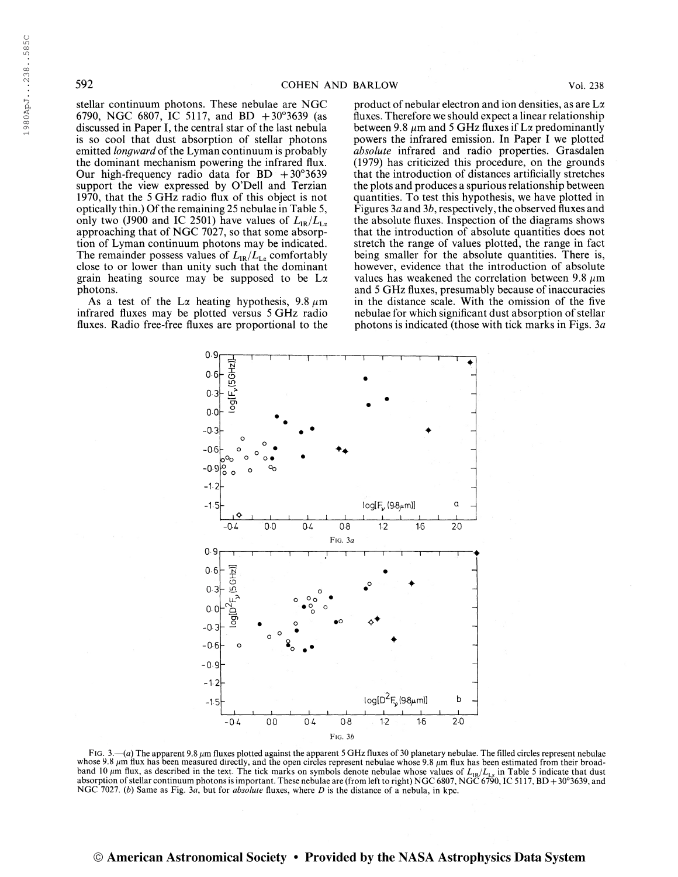198OApJ. . .238 . .585C

1980ApJ...238..585C

stellar continuum photons. These nebulae are NGC 6790, NGC 6807, IC 5117, and BD  $+30^{\circ}3639$  (as discussed in Paper I, the central star of the last nebula is so cool that dust absorption of stellar photons emitted *longward* of the Lyman continuum is probably the dominant mechanism powering the infrared flux. Our high-frequency radio data for  $BD + 30^{\circ}3639$ support the view expressed by O'Dell and Terzian 1970, that the 5 GHz radio flux of this object is not optically thin.) Of the remaining 25 nebulae in Table 5, only two (J900 and IC 2501) have values of  $L_{IR}/L_{L_{\alpha}}$ approaching that of NGC 7027, so that some absorption of Lyman continuum photons may be indicated. The remainder possess values of  $L_{IR}/L_{La}$  comfortably close to or lower than unity such that the dominant grain heating source may be supposed to be  $L\alpha$ photons.

As a test of the L $\alpha$  heating hypothesis, 9.8  $\mu$ m infrared fluxes may be plotted versus 5 GHz radio fluxes. Radio free-free fluxes are proportional to the

product of nebular electron and ion densities, as are La fluxes. Therefore we should expect a linear relationship between 9.8  $\mu$ m and 5 GHz fluxes if L $\alpha$  predominantly powers the infrared emission. In Paper I we plotted absolute infrared and radio properties. Grasdalen (1979) has criticized this procedure, on the grounds that the introduction of distances artificially stretches the plots and produces a spurious relationship between quantities. To test this hypothesis, we have plotted in Figures 3a and 3b, respectively, the observed fluxes and the absolute fluxes. Inspection of the diagrams shows that the introduction of absolute quantities does not stretch the range of values plotted, the range in fact being smaller for the absolute quantities. There is, however, evidence that the introduction of absolute values has weakened the correlation between 9.8  $\mu$ m and 5 GHz fluxes, presumably because of inaccuracies in the distance scale. With the omission of the five nebulae for which significant dust absorption of stellar photons is indicated (those with tick marks in Figs. 3a



FIG. 3.—(a) The apparent 9.8  $\mu$ m fluxes plotted against the apparent 5 GHz fluxes of 30 planetary nebulae. The filled circles represent nebulae whose 9.8  $\mu$ m flux has been measured directly, and the open circles represent nebulae whose 9.8  $\mu$ m flux has been estimated from their broadband 10  $\mu$ m flux, as described in the text. The tick marks on symbols denote nebulae whose values of  $L_{IR}/L_{L2}$  in Table 5 indicate that dust absorption of stellar continuum photons is important. These nebulae are (fro NGC 7027. (b) Same as Fig. 3a, but for absolute fluxes, where D is the distance of a nebula, in kpc.

# © American Astronomical Society • Provided by the NASA Astrophysics Data System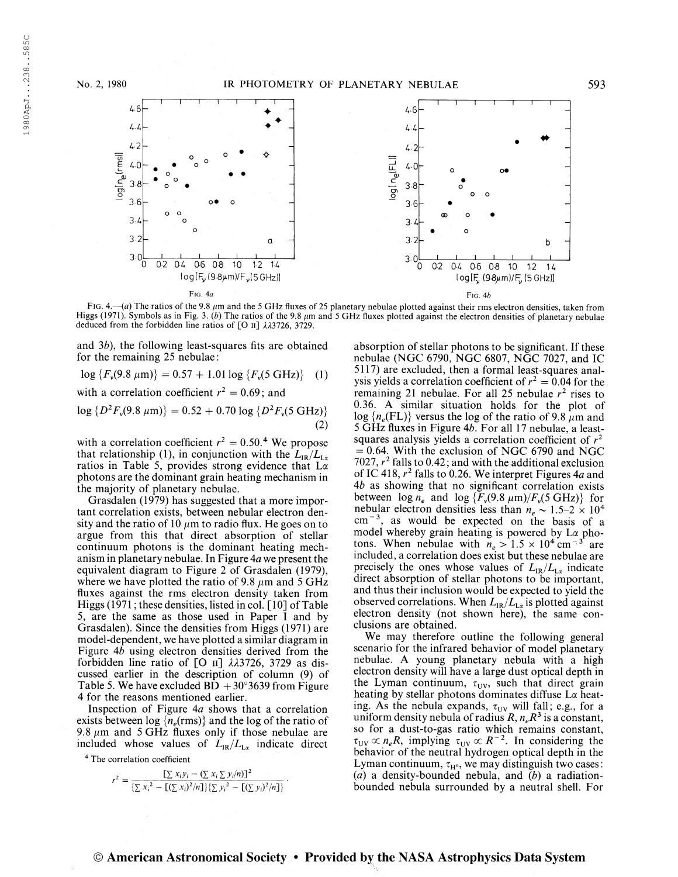

FIG. 4.— $(a)$  The ratios of the 9.8  $\mu$ m and the 5 GHz fluxes of 25 planetary nebulae plotted against their rms electron densities, taken from Higgs (1971). Symbols as in Fig. 3. (b) The ratios of the 9.8  $\mu$ m and 5 GHz fluxes plotted against the electron densities of planetary nebulae deduced from the forbidden line ratios of [O  $\text{II}$ ]  $\lambda\lambda$ 3726, 3729.

and  $3b$ ), the following least-squares fits are obtained for the remaining 25 nebulae :

 $\log \{F_v(9.8 \text{ }\mu\text{m})\} = 0.57 + 1.01 \log \{F_v(5 \text{ GHz})\}$  (1)

with a correlation coefficient  $r^2 = 0.69$ ; and

$$
\log \{ D^2 F_v(9.8 \ \mu \text{m}) \} = 0.52 + 0.70 \log \{ D^2 F_v(5 \ \text{GHz}) \}
$$
\n(2)

with a correlation coefficient  $r^2 = 0.50$ .<sup>4</sup> We propose that relationship (1), in conjunction with the  $L_{IR}/L_{Lx}$ ratios in Table 5, provides strong evidence that  $L\alpha$ photons are the dominant grain heating mechanism in the majority of planetary nebulae.

Grasdalen (1979) has suggested that a more important correlation exists, between nebular electron density and the ratio of 10  $\mu$ m to radio flux. He goes on to argue from this that direct absorption of stellar continuum photons is the dominant heating mechanism in planetary nebulae. In Figure  $4a$  we present the equivalent diagram to Figure 2 of Grasdalen (1979), where we have plotted the ratio of 9.8  $\mu$ m and 5 GHz fluxes against the rms electron density taken from Higgs (1971; these densities, listed in col.  $\lceil 10 \rceil$  of Table 5, are the same as those used in Paper I and by Grasdalen). Since the densities from Higgs (1971) are model-dependent, we have plotted a similar diagram in Figure  $4b$  using electron densities derived from the forbidden line ratio of [O  $\text{II}$ ]  $\lambda\lambda$ 3726, 3729 as discussed earlier in the description of column (9) of Table 5. We have excluded  $\overline{BD} + 30^{\circ}3639$  from Figure 4 for the reasons mentioned earlier.

Inspection of Figure 4a shows that a correlation exists between  $log\$ {n\_e(rms)} and the log of the ratio of 9.8  $\mu$ m and 5 GHz fluxes only if those nebulae are included whose values of  $L_{IR}/L_{L\alpha}$  indicate direct

<sup>4</sup> The correlation coefficient

$$
r^{2} = \frac{\left[\sum x_{i}y_{i} - (\sum x_{i} \sum y_{i}/n)\right]^{2}}{\left\{\sum x_{i}^{2} - \left[\left(\sum x_{i}\right)^{2}/n\right]\right\}\left[\sum y_{i}^{2} - \left[\left(\sum y_{i}\right)^{2}/n\right]\right\}}.
$$

absorption of stellar photons to be significant. If these nebulae (NGC 6790, NGC 6807, NGC 7027, and IC 5117) are excluded, then a formal least-squares analysis yields a correlation coefficient of  $r^2 = 0.04$  for the remaining 21 nebulae. For all 25 nebulae  $r^2$  rises to 0.36. A similar situation holds for the plot of  $\log \{n_e(\text{FL})\}$  versus the log of the ratio of 9.8  $\mu$ m and <sup>5</sup> GHz fluxes in Figure 46. For all 17 nebulae, a leastsquares analysis yields a correlation coefficient of  $r^2$  $= 0.64$ . With the exclusion of NGC 6790 and NGC  $7027$ ,  $r^2$  falls to 0.42; and with the additional exclusion of IC 418,  $r^2$  falls to 0.26. We interpret Figures 4*a* and  $4b$  as showing that no significant correlation exists between  $\log n_e$  and  $\log {F_v(9.8 \mu m) / F_v(5 \text{ GHz})}$  for nebular electron densities less than  $n_e \sim 1.5-2 \times 10^4$ nebular electron densities less than  $n_e \sim 1.5-2 \times 10^4$ <br>cm<sup>-3</sup>, as would be expected on the basis of a model whereby grain heating is powered by L $\alpha$  pho-<br>tons. When nebulae with  $n_e > 1.5 \times 10^4$  cm<sup>-3</sup> are included, a correlation does exist but these nebulae are precisely the ones whose values of  $L_{IR}/L_{L_{\alpha}}$  indicate direct absorption of stellar photons to be important, and thus their inclusion would be expected to yield the observed correlations. When  $L_{IR}/L_{L_{\alpha}}$  is plotted against electron density (not shown here), the same conclusions are obtained.

We may therefore outline the following general scenario for the infrared behavior of model planetary nebulae. A young planetary nebula with a high electron density will have a large dust optical depth in the Lyman continuum,  $\tau_{UV}$ , such that direct grain heating by stellar photons dominates diffuse La heating. As the nebula expands,  $\tau_{UV}$  will fall; e.g., for a ing. The divergence of parties,  $v_0$  with left, e.g., for a so for a dust-to-gas ratio which remains constant, so for a dust-to-gas ratio which remains constant,<br>  $\tau_{UV} \propto n_e R$ , implying  $\tau_{UV} \propto R^{-2}$ . In considering the behavior of the neutral hydrogen optical depth in the Lyman continuum,  $\tau_{H^0}$ , we may distinguish two cases:  $(a)$  a density-bounded nebula, and  $(b)$  a radiationbounded nebula surrounded by a neutral shell. For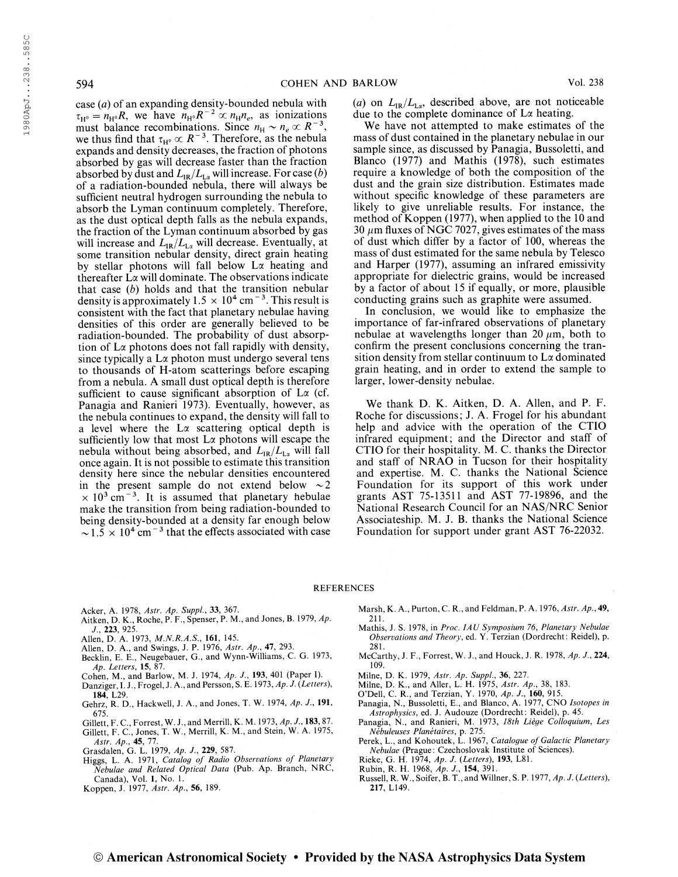case  $(a)$  of an expanding density-bounded nebula with  $\tau_{H^o} = n_{H^o}R$ , we have  $n_{H^o}R^{-2} \propto n_Hn_e$ , as ionizations<br>must balance recombinations. Since  $n_H \sim n_e \propto R^{-3}$ , we thus find that  $\tau_{H^0} \propto R^{-3}$ . Therefore, as the nebula expands and density decreases, the fraction of photons absorbed by gas will decrease faster than the fraction absorbed by dust and  $L_{IR}/L_{La}$  will increase. For case (b) of a radiation-bounded nebula, there will always be sufficient neutral hydrogen surrounding the nebula to absorb the Lyman continuum completely. Therefore, as the dust optical depth falls as the nebula expands, the fraction of the Lyman continuum absorbed by gas will increase and  $L_{IR}/L_{La}$  will decrease. Eventually, at some transition nebular density, direct grain heating by stellar photons will fall below  $L\alpha$  heating and thereafter  $L\alpha$  will dominate. The observations indicate that case  $(b)$  holds and that the transition nebular density is approximately  $1.5 \times 10^4$  cm<sup>-3</sup>. This result is consistent with the fact that planetary nebulae having densities of this order are generally believed to be radiation-bounded. The probability of dust absorption of  $L\alpha$  photons does not fall rapidly with density, since typically a  $L\alpha$  photon must undergo several tens to thousands of H-atom scatterings before escaping from a nebula. A small dust optical depth is therefore sufficient to cause significant absorption of  $L\alpha$  (cf. Panagia and Ranieri 1973). Eventually, however, as the nebula continues to expand, the density will fall to a level where the  $L\alpha$  scattering optical depth is sufficiently low that most  $L\alpha$  photons will escape the nebula without being absorbed, and  $L_{IR}/L_{L\alpha}$  will fall once again. It is not possible to estimate this transition density here since the nebular densities encountered in the present sample do not extend below  $\sim 2$ n the present sample do not extend below  $\sim 2$ <br> $\times$  10<sup>3</sup> cm<sup>-3</sup>. It is assumed that planetary hebulae make the transition from being radiation-bounded to being density-bounded at a density far enough below being density-bounded at a density far enough below<br> $\sim 1.5 \times 10^4$  cm<sup>-3</sup> that the effects associated with case

(a) on  $L_{IR}/L_{Lx}$ , described above, are not noticeable due to the complete dominance of  $L\alpha$  heating.

We have not attempted to make estimates of the mass of dust contained in the planetary nebulae in our sample since, as discussed by Panagia, Bussoletti, and Blanco (1977) and Mathis (1978), such estimates require a knowledge of both the composition of the dust and the grain size distribution. Estimates made without specific knowledge of these parameters are likely to give unreliable results. For instance, the method of Koppen (1977), when applied to the 10 and 30  $\mu$ m fluxes of NGC 7027, gives estimates of the mass of dust which differ by a factor of 100, whereas the mass of dust estimated for the same nebula by Telesco and Harper (1977), assuming an infrared emissivity appropriate for dielectric grains, would be increased by a factor of about 15 if equally, or more, plausible conducting grains such as graphite were assumed.

In conclusion, we would like to emphasize the importance of far-infrared observations of planetary nebulae at wavelengths longer than 20  $\mu$ m, both to confirm the present conclusions concerning the transition density from stellar continuum to  $L\alpha$  dominated grain heating, and in order to extend the sample to larger, lower-density nebulae.

We thank D. K. Aitken, D. A. Allen, and P. F. Roche for discussions; J. A. Frogel for his abundant help and advice with the operation of the CTIO infrared equipment; and the Director and staff of CTIO for their hospitality. M. C. thanks the Director and staff of NRAO in Tucson for their hospitality and expertise. M. C. thanks the National Science Foundation for its support of this work under grants AST 75-13511 and AST 77-19896, and the National Research Council for an NAS/NRC Senior Associateship. M. J. B. thanks the National Science Foundation for support under grant AST 76-22032.

#### **REFERENCES**

- Acker, A. 1978, Astr. Ap. Suppl., 33, 367.
- Aitken, D. K., Roche, P. F., Spenser, P. M., and Jones, B. 1979, Ap.
- J., 223, 925. Allen, D.A. 1973, M.N.R.A.S., 161, 145.
- Allen, D. A., and Swings, J. P. 1976, Astr. Ap., 47, 293.
- Becklin, E. E., Neugebauer, G., and Wynn-Williams, C. G. 1973,
- Ap. Letters, 15, 87. Cohen, ML, and Barlow, M. J. 1974, Ap. J., 193, 401 (Paper I).
- Danziger, I. J., Frogel, J. A., and Persson, S. E. 1973, Ap. J. (Letters),
- 184, L29.
- Gehrz, R. D., Hackwell, J. A., and Jones, T. W. 1974, Ap. J., 191, 675.
- Gillett, F. C., Forrest, W. J., and Merrill, K. M. 1973, Ap. J., 183,87.
- Gillett, F. C., Jones, T. W., Merrill, K. M., and Stein, W. A. 1975, Astr. Ap., 45, 77. *Astr. Ap.*, **45**, 77.<br>Grasdalen, G. L. 1979, *Ap. J.*, **229**, 587.
- 
- Higgs, L. A. 1971, Catalog of Radio Observations of Planetary Nebulae and Related Optical Data (Pub. Ap. Branch, NRC, Canada), Vol. 1, No. 1.
- Koppen, J. 1977, Astr. Ap., 56, 189.
- Marsh, K. A., Purton, C. R., and Feldman, P. A. 1976, Astr. Ap., 49, 211.
- Mathis, J. S. 1978, in Proc. IAU Symposium 76, Planetary Nebulae Observations and Theory, ed. Y. Terzian (Dordrecht: Reidel), p. 281
- McCarthy, J. F., Forrest, W. J., and Houck, J. R. 1978, Ap. J., 224, 109.
- Milne, D. K. 1979, Astr. Ap. Suppl, 36, 227.
- Milne, D. K., and Aller, L. H. 1975, Astr. Ap., 38, 183.
- O'Dell, C. R., and Terzian, Y. 1970, Ap. J., 160, 915.
- Panagia, N., Bussoletti, E., and Blanco, A. 1977, CNO Isotopes in
- Astrophysics, ed. J. Audouze (Dordrecht: Reidel), p. 45. Panagia, N., and Ranieri, M. 1973, 18th Liège Colloquium, Les
- Nébuleuses Planétaires, p. 275. Perek, L., and Kohoutek, L. 1967, Catalogue of Galactic Planetary
- Nebulae (Prague : Czechoslovak Institute of Sciences).
- Rieke, G. H. 1974, Ap. J. (Letters), 193, L81.
- Rubin, R. H. 1968, Ap. J., 154, 391.
- Russell, R. W., Soifer, B. T., and Willner, S. P. 1977, Ap. J. {Letters), 217, L149.